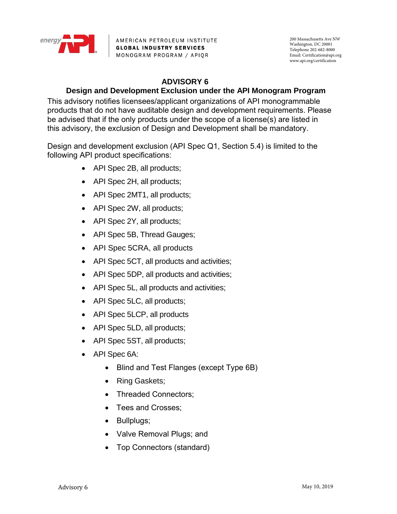

AMERICAN PETROLEUM INSTITUTE **GLOBAL INDUSTRY SERVICES** MONOGRAM PROGRAM / APIQR

200 Massachusetts Ave NW Washington, DC 20001 Telephone 202-682-8000 Email: Certification@api.org www.api.org/certification

## **ADVISORY 6**

## **Design and Development Exclusion under the API Monogram Program**

This advisory notifies licensees/applicant organizations of API monogrammable products that do not have auditable design and development requirements. Please be advised that if the only products under the scope of a license(s) are listed in this advisory, the exclusion of Design and Development shall be mandatory.

Design and development exclusion (API Spec Q1, Section 5.4) is limited to the following API product specifications:

- API Spec 2B, all products;
- API Spec 2H, all products;
- API Spec 2MT1, all products;
- API Spec 2W, all products;
- API Spec 2Y, all products;
- API Spec 5B, Thread Gauges;
- API Spec 5CRA, all products
- API Spec 5CT, all products and activities;
- API Spec 5DP, all products and activities;
- API Spec 5L, all products and activities;
- API Spec 5LC, all products;
- API Spec 5LCP, all products
- API Spec 5LD, all products;
- API Spec 5ST, all products;
- API Spec 6A:
	- Blind and Test Flanges (except Type 6B)
	- Ring Gaskets;
	- Threaded Connectors:
	- Tees and Crosses:
	- Bullplugs;
	- Valve Removal Plugs; and
	- Top Connectors (standard)